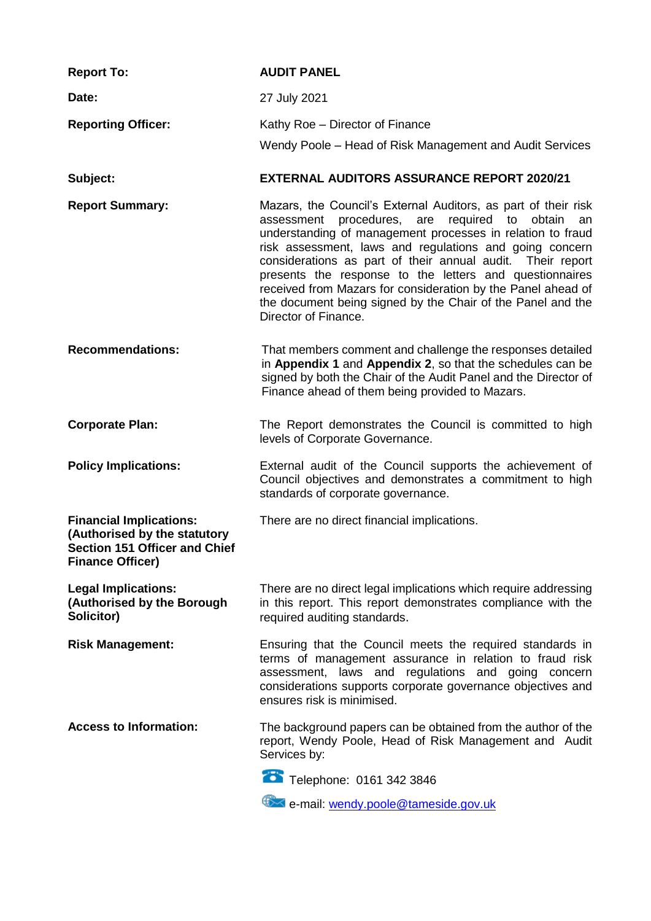| <b>Report To:</b>                                                                                                                 | <b>AUDIT PANEL</b>                                                                                                                                                                                                                                                                                                                                                                                                                                                                                                             |
|-----------------------------------------------------------------------------------------------------------------------------------|--------------------------------------------------------------------------------------------------------------------------------------------------------------------------------------------------------------------------------------------------------------------------------------------------------------------------------------------------------------------------------------------------------------------------------------------------------------------------------------------------------------------------------|
| Date:                                                                                                                             | 27 July 2021                                                                                                                                                                                                                                                                                                                                                                                                                                                                                                                   |
| <b>Reporting Officer:</b>                                                                                                         | Kathy Roe - Director of Finance<br>Wendy Poole – Head of Risk Management and Audit Services                                                                                                                                                                                                                                                                                                                                                                                                                                    |
| Subject:                                                                                                                          | <b>EXTERNAL AUDITORS ASSURANCE REPORT 2020/21</b>                                                                                                                                                                                                                                                                                                                                                                                                                                                                              |
| <b>Report Summary:</b>                                                                                                            | Mazars, the Council's External Auditors, as part of their risk<br>assessment procedures, are required to obtain<br>an<br>understanding of management processes in relation to fraud<br>risk assessment, laws and regulations and going concern<br>considerations as part of their annual audit. Their report<br>presents the response to the letters and questionnaires<br>received from Mazars for consideration by the Panel ahead of<br>the document being signed by the Chair of the Panel and the<br>Director of Finance. |
| <b>Recommendations:</b>                                                                                                           | That members comment and challenge the responses detailed<br>in Appendix 1 and Appendix 2, so that the schedules can be<br>signed by both the Chair of the Audit Panel and the Director of<br>Finance ahead of them being provided to Mazars.                                                                                                                                                                                                                                                                                  |
| <b>Corporate Plan:</b>                                                                                                            | The Report demonstrates the Council is committed to high<br>levels of Corporate Governance.                                                                                                                                                                                                                                                                                                                                                                                                                                    |
| <b>Policy Implications:</b>                                                                                                       | External audit of the Council supports the achievement of<br>Council objectives and demonstrates a commitment to high<br>standards of corporate governance.                                                                                                                                                                                                                                                                                                                                                                    |
| <b>Financial Implications:</b><br>(Authorised by the statutory<br><b>Section 151 Officer and Chief</b><br><b>Finance Officer)</b> | There are no direct financial implications.                                                                                                                                                                                                                                                                                                                                                                                                                                                                                    |
| <b>Legal Implications:</b><br>(Authorised by the Borough<br>Solicitor)                                                            | There are no direct legal implications which require addressing<br>in this report. This report demonstrates compliance with the<br>required auditing standards.                                                                                                                                                                                                                                                                                                                                                                |
| <b>Risk Management:</b>                                                                                                           | Ensuring that the Council meets the required standards in<br>terms of management assurance in relation to fraud risk<br>assessment, laws and regulations and going concern<br>considerations supports corporate governance objectives and<br>ensures risk is minimised.                                                                                                                                                                                                                                                        |
| <b>Access to Information:</b>                                                                                                     | The background papers can be obtained from the author of the<br>report, Wendy Poole, Head of Risk Management and Audit<br>Services by:                                                                                                                                                                                                                                                                                                                                                                                         |
|                                                                                                                                   | Telephone: 0161 342 3846                                                                                                                                                                                                                                                                                                                                                                                                                                                                                                       |
|                                                                                                                                   | e-mail: wendy.poole@tameside.gov.uk                                                                                                                                                                                                                                                                                                                                                                                                                                                                                            |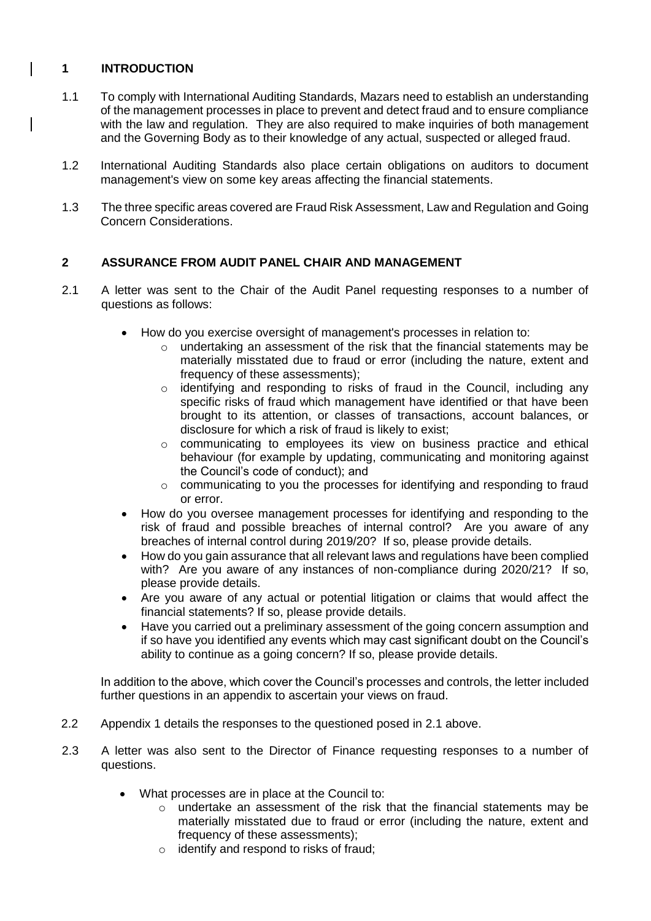### **1 INTRODUCTION**

- 1.1 To comply with International Auditing Standards, Mazars need to establish an understanding of the management processes in place to prevent and detect fraud and to ensure compliance with the law and regulation. They are also required to make inquiries of both management and the Governing Body as to their knowledge of any actual, suspected or alleged fraud.
- 1.2 International Auditing Standards also place certain obligations on auditors to document management's view on some key areas affecting the financial statements.
- 1.3 The three specific areas covered are Fraud Risk Assessment, Law and Regulation and Going Concern Considerations.

#### **2 ASSURANCE FROM AUDIT PANEL CHAIR AND MANAGEMENT**

- 2.1 A letter was sent to the Chair of the Audit Panel requesting responses to a number of questions as follows:
	- How do you exercise oversight of management's processes in relation to:
		- $\circ$  undertaking an assessment of the risk that the financial statements may be materially misstated due to fraud or error (including the nature, extent and frequency of these assessments);
		- o identifying and responding to risks of fraud in the Council, including any specific risks of fraud which management have identified or that have been brought to its attention, or classes of transactions, account balances, or disclosure for which a risk of fraud is likely to exist;
		- o communicating to employees its view on business practice and ethical behaviour (for example by updating, communicating and monitoring against the Council's code of conduct); and
		- $\circ$  communicating to you the processes for identifying and responding to fraud or error.
	- How do you oversee management processes for identifying and responding to the risk of fraud and possible breaches of internal control? Are you aware of any breaches of internal control during 2019/20? If so, please provide details.
	- How do you gain assurance that all relevant laws and regulations have been complied with? Are you aware of any instances of non-compliance during 2020/21? If so, please provide details.
	- Are you aware of any actual or potential litigation or claims that would affect the financial statements? If so, please provide details.
	- Have you carried out a preliminary assessment of the going concern assumption and if so have you identified any events which may cast significant doubt on the Council's ability to continue as a going concern? If so, please provide details.

 In addition to the above, which cover the Council's processes and controls, the letter included further questions in an appendix to ascertain your views on fraud.

- 2.2 Appendix 1 details the responses to the questioned posed in 2.1 above.
- 2.3 A letter was also sent to the Director of Finance requesting responses to a number of questions.
	- What processes are in place at the Council to:
		- o undertake an assessment of the risk that the financial statements may be materially misstated due to fraud or error (including the nature, extent and frequency of these assessments);
		- o identify and respond to risks of fraud;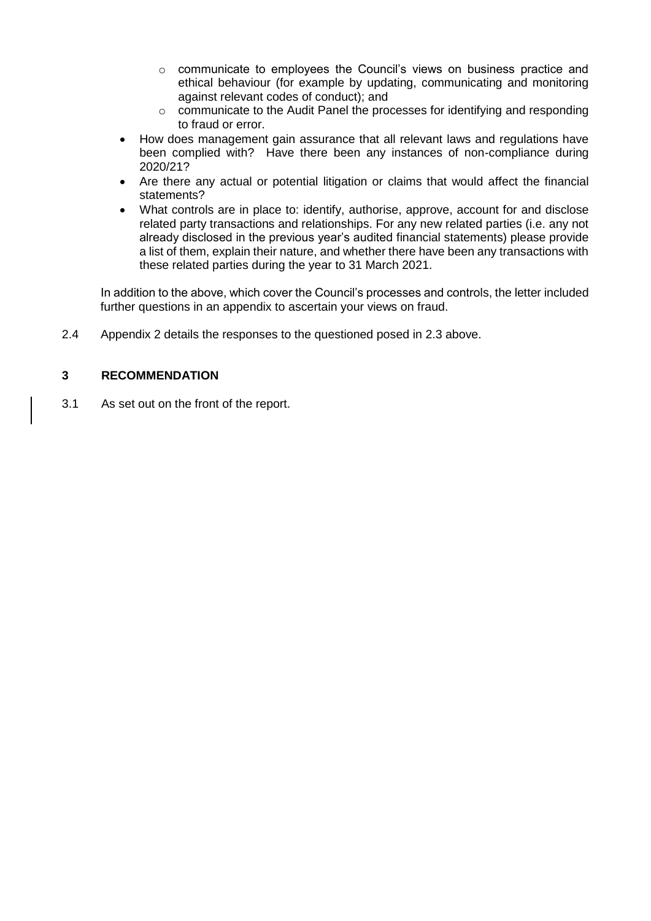- $\circ$  communicate to employees the Council's views on business practice and ethical behaviour (for example by updating, communicating and monitoring against relevant codes of conduct); and
- $\circ$  communicate to the Audit Panel the processes for identifying and responding to fraud or error.
- How does management gain assurance that all relevant laws and regulations have been complied with? Have there been any instances of non-compliance during 2020/21?
- Are there any actual or potential litigation or claims that would affect the financial statements?
- What controls are in place to: identify, authorise, approve, account for and disclose related party transactions and relationships. For any new related parties (i.e. any not already disclosed in the previous year's audited financial statements) please provide a list of them, explain their nature, and whether there have been any transactions with these related parties during the year to 31 March 2021.

In addition to the above, which cover the Council's processes and controls, the letter included further questions in an appendix to ascertain your views on fraud.

2.4 Appendix 2 details the responses to the questioned posed in 2.3 above.

### **3 RECOMMENDATION**

3.1 As set out on the front of the report.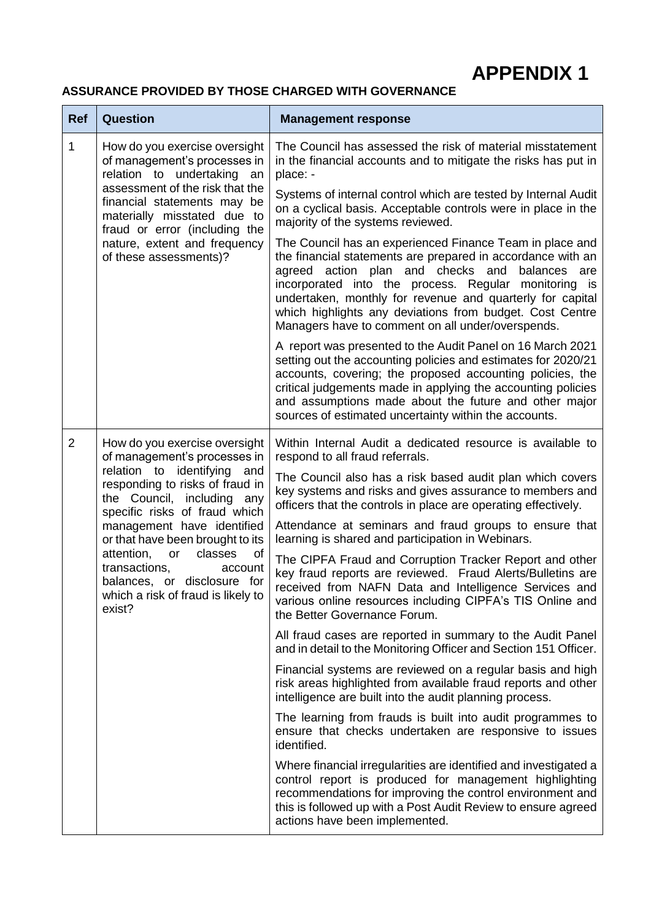# **APPENDIX 1**

## **ASSURANCE PROVIDED BY THOSE CHARGED WITH GOVERNANCE**

| <b>Ref</b>     | <b>Question</b>                                                                                                                                                                                                                                                                         | <b>Management response</b>                                                                                                                                                                                                                                                                                                                                                                                            |
|----------------|-----------------------------------------------------------------------------------------------------------------------------------------------------------------------------------------------------------------------------------------------------------------------------------------|-----------------------------------------------------------------------------------------------------------------------------------------------------------------------------------------------------------------------------------------------------------------------------------------------------------------------------------------------------------------------------------------------------------------------|
| 1              | How do you exercise oversight<br>of management's processes in<br>relation to undertaking an<br>assessment of the risk that the<br>financial statements may be<br>materially misstated due to<br>fraud or error (including the<br>nature, extent and frequency<br>of these assessments)? | The Council has assessed the risk of material misstatement<br>in the financial accounts and to mitigate the risks has put in<br>place: -                                                                                                                                                                                                                                                                              |
|                |                                                                                                                                                                                                                                                                                         | Systems of internal control which are tested by Internal Audit<br>on a cyclical basis. Acceptable controls were in place in the<br>majority of the systems reviewed.                                                                                                                                                                                                                                                  |
|                |                                                                                                                                                                                                                                                                                         | The Council has an experienced Finance Team in place and<br>the financial statements are prepared in accordance with an<br>agreed action plan and checks and<br>balances<br>are<br>incorporated into the process. Regular monitoring is<br>undertaken, monthly for revenue and quarterly for capital<br>which highlights any deviations from budget. Cost Centre<br>Managers have to comment on all under/overspends. |
|                |                                                                                                                                                                                                                                                                                         | A report was presented to the Audit Panel on 16 March 2021<br>setting out the accounting policies and estimates for 2020/21<br>accounts, covering; the proposed accounting policies, the<br>critical judgements made in applying the accounting policies<br>and assumptions made about the future and other major<br>sources of estimated uncertainty within the accounts.                                            |
| $\overline{2}$ | How do you exercise oversight<br>of management's processes in                                                                                                                                                                                                                           | Within Internal Audit a dedicated resource is available to<br>respond to all fraud referrals.                                                                                                                                                                                                                                                                                                                         |
|                | relation to identifying and<br>responding to risks of fraud in<br>the Council, including any<br>specific risks of fraud which                                                                                                                                                           | The Council also has a risk based audit plan which covers<br>key systems and risks and gives assurance to members and<br>officers that the controls in place are operating effectively.                                                                                                                                                                                                                               |
|                | management have identified<br>or that have been brought to its                                                                                                                                                                                                                          | Attendance at seminars and fraud groups to ensure that<br>learning is shared and participation in Webinars.                                                                                                                                                                                                                                                                                                           |
|                | attention,<br>classes<br>of<br>or<br>transactions,<br>account<br>balances, or disclosure for<br>which a risk of fraud is likely to<br>exist?                                                                                                                                            | The CIPFA Fraud and Corruption Tracker Report and other<br>key fraud reports are reviewed. Fraud Alerts/Bulletins are<br>received from NAFN Data and Intelligence Services and<br>various online resources including CIPFA's TIS Online and<br>the Better Governance Forum.                                                                                                                                           |
|                |                                                                                                                                                                                                                                                                                         | All fraud cases are reported in summary to the Audit Panel<br>and in detail to the Monitoring Officer and Section 151 Officer.                                                                                                                                                                                                                                                                                        |
|                |                                                                                                                                                                                                                                                                                         | Financial systems are reviewed on a regular basis and high<br>risk areas highlighted from available fraud reports and other<br>intelligence are built into the audit planning process.                                                                                                                                                                                                                                |
|                |                                                                                                                                                                                                                                                                                         | The learning from frauds is built into audit programmes to<br>ensure that checks undertaken are responsive to issues<br>identified.                                                                                                                                                                                                                                                                                   |
|                |                                                                                                                                                                                                                                                                                         | Where financial irregularities are identified and investigated a<br>control report is produced for management highlighting<br>recommendations for improving the control environment and<br>this is followed up with a Post Audit Review to ensure agreed<br>actions have been implemented.                                                                                                                            |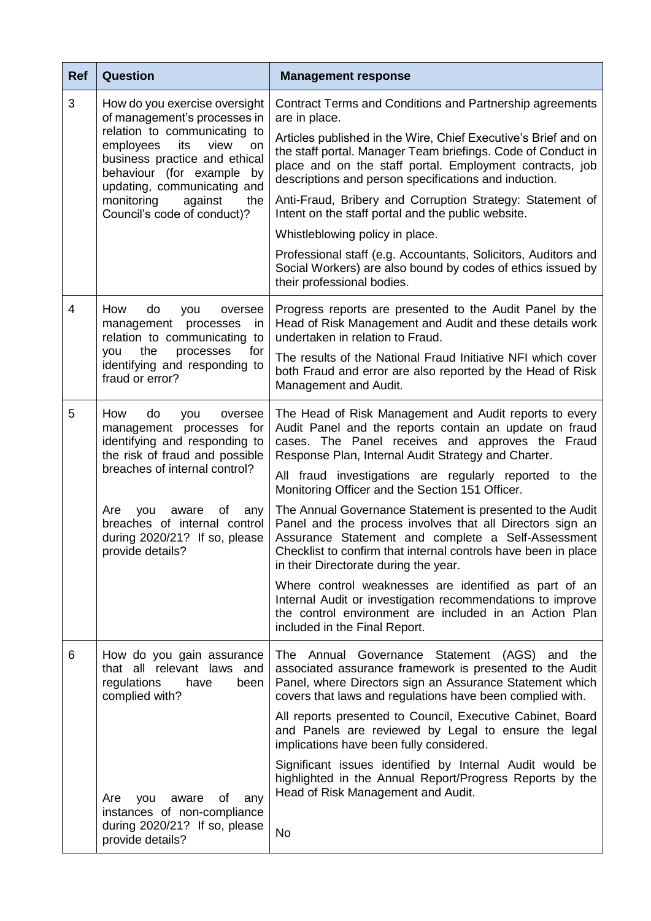| <b>Ref</b>     | <b>Question</b>                                                                                                                                                                                                              | <b>Management response</b>                                                                                                                                                                                                                                                              |
|----------------|------------------------------------------------------------------------------------------------------------------------------------------------------------------------------------------------------------------------------|-----------------------------------------------------------------------------------------------------------------------------------------------------------------------------------------------------------------------------------------------------------------------------------------|
| 3              | How do you exercise oversight<br>of management's processes in<br>relation to communicating to<br>employees<br>its<br>view<br>on<br>business practice and ethical<br>behaviour (for example by<br>updating, communicating and | Contract Terms and Conditions and Partnership agreements<br>are in place.                                                                                                                                                                                                               |
|                |                                                                                                                                                                                                                              | Articles published in the Wire, Chief Executive's Brief and on<br>the staff portal. Manager Team briefings. Code of Conduct in<br>place and on the staff portal. Employment contracts, job<br>descriptions and person specifications and induction.                                     |
|                | monitoring<br>against<br>the<br>Council's code of conduct)?                                                                                                                                                                  | Anti-Fraud, Bribery and Corruption Strategy: Statement of<br>Intent on the staff portal and the public website.                                                                                                                                                                         |
|                |                                                                                                                                                                                                                              | Whistleblowing policy in place.                                                                                                                                                                                                                                                         |
|                |                                                                                                                                                                                                                              | Professional staff (e.g. Accountants, Solicitors, Auditors and<br>Social Workers) are also bound by codes of ethics issued by<br>their professional bodies.                                                                                                                             |
| $\overline{4}$ | How<br>do<br>you<br>oversee<br>management<br>processes<br><i>in</i><br>relation to communicating<br>to                                                                                                                       | Progress reports are presented to the Audit Panel by the<br>Head of Risk Management and Audit and these details work<br>undertaken in relation to Fraud.                                                                                                                                |
|                | the<br>processes<br>for<br>you<br>identifying and responding to<br>fraud or error?                                                                                                                                           | The results of the National Fraud Initiative NFI which cover<br>both Fraud and error are also reported by the Head of Risk<br>Management and Audit.                                                                                                                                     |
| 5              | How<br>do<br>you<br>oversee<br>management processes for<br>identifying and responding to<br>the risk of fraud and possible<br>breaches of internal control?                                                                  | The Head of Risk Management and Audit reports to every<br>Audit Panel and the reports contain an update on fraud<br>cases. The Panel receives and approves the Fraud<br>Response Plan, Internal Audit Strategy and Charter.                                                             |
|                |                                                                                                                                                                                                                              | All fraud investigations are regularly reported to the<br>Monitoring Officer and the Section 151 Officer.                                                                                                                                                                               |
|                | Are<br>you<br>aware<br>Οf<br>any<br>breaches of internal control<br>during 2020/21? If so, please<br>provide details?                                                                                                        | The Annual Governance Statement is presented to the Audit<br>Panel and the process involves that all Directors sign an<br>Assurance Statement and complete a Self-Assessment<br>Checklist to confirm that internal controls have been in place<br>in their Directorate during the year. |
|                |                                                                                                                                                                                                                              | Where control weaknesses are identified as part of an<br>Internal Audit or investigation recommendations to improve<br>the control environment are included in an Action Plan<br>included in the Final Report.                                                                          |
| 6              | How do you gain assurance<br>that all relevant laws and<br>regulations<br>have<br>been<br>complied with?                                                                                                                     | The Annual Governance Statement (AGS)<br>and the<br>associated assurance framework is presented to the Audit<br>Panel, where Directors sign an Assurance Statement which<br>covers that laws and regulations have been complied with.                                                   |
|                |                                                                                                                                                                                                                              | All reports presented to Council, Executive Cabinet, Board<br>and Panels are reviewed by Legal to ensure the legal<br>implications have been fully considered.                                                                                                                          |
|                | οf<br>any<br>Are<br>you<br>aware                                                                                                                                                                                             | Significant issues identified by Internal Audit would be<br>highlighted in the Annual Report/Progress Reports by the<br>Head of Risk Management and Audit.                                                                                                                              |
|                | instances of non-compliance<br>during 2020/21? If so, please<br>provide details?                                                                                                                                             | <b>No</b>                                                                                                                                                                                                                                                                               |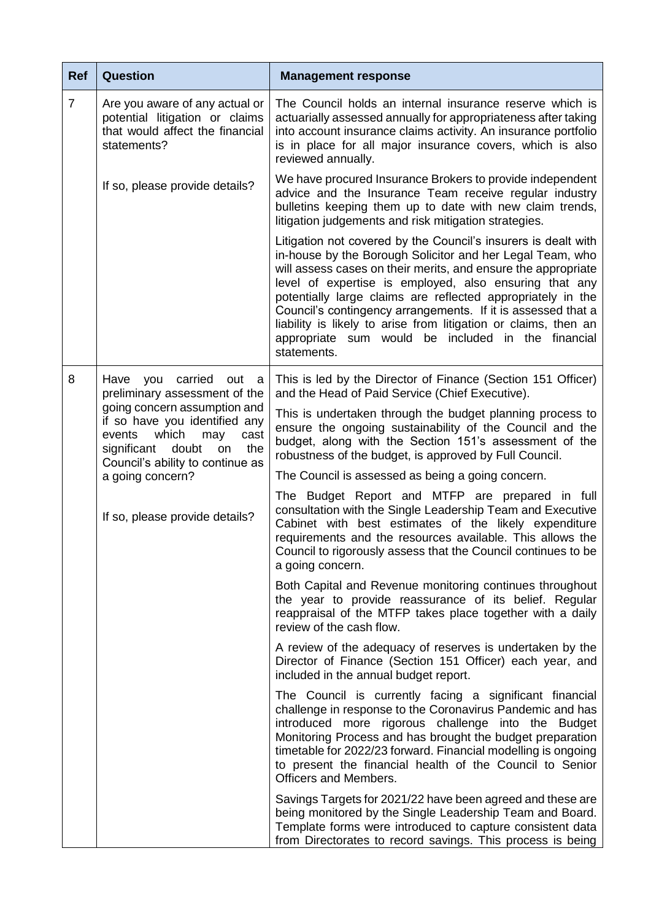| <b>Ref</b>     | <b>Question</b>                                                                                                                   | <b>Management response</b>                                                                                                                                                                                                                                                                                                                                                                                                                                                                                                    |
|----------------|-----------------------------------------------------------------------------------------------------------------------------------|-------------------------------------------------------------------------------------------------------------------------------------------------------------------------------------------------------------------------------------------------------------------------------------------------------------------------------------------------------------------------------------------------------------------------------------------------------------------------------------------------------------------------------|
| $\overline{7}$ | Are you aware of any actual or<br>potential litigation or claims<br>that would affect the financial<br>statements?                | The Council holds an internal insurance reserve which is<br>actuarially assessed annually for appropriateness after taking<br>into account insurance claims activity. An insurance portfolio<br>is in place for all major insurance covers, which is also<br>reviewed annually.                                                                                                                                                                                                                                               |
|                | If so, please provide details?                                                                                                    | We have procured Insurance Brokers to provide independent<br>advice and the Insurance Team receive regular industry<br>bulletins keeping them up to date with new claim trends,<br>litigation judgements and risk mitigation strategies.                                                                                                                                                                                                                                                                                      |
|                |                                                                                                                                   | Litigation not covered by the Council's insurers is dealt with<br>in-house by the Borough Solicitor and her Legal Team, who<br>will assess cases on their merits, and ensure the appropriate<br>level of expertise is employed, also ensuring that any<br>potentially large claims are reflected appropriately in the<br>Council's contingency arrangements. If it is assessed that a<br>liability is likely to arise from litigation or claims, then an<br>appropriate sum would be included in the financial<br>statements. |
| 8              | Have<br>carried<br>out<br>you<br>- a<br>preliminary assessment of the                                                             | This is led by the Director of Finance (Section 151 Officer)<br>and the Head of Paid Service (Chief Executive).                                                                                                                                                                                                                                                                                                                                                                                                               |
|                | going concern assumption and<br>if so have you identified any<br>which<br>events<br>may<br>cast<br>significant doubt<br>the<br>on | This is undertaken through the budget planning process to<br>ensure the ongoing sustainability of the Council and the<br>budget, along with the Section 151's assessment of the<br>robustness of the budget, is approved by Full Council.                                                                                                                                                                                                                                                                                     |
|                | Council's ability to continue as<br>a going concern?                                                                              | The Council is assessed as being a going concern.                                                                                                                                                                                                                                                                                                                                                                                                                                                                             |
|                | If so, please provide details?                                                                                                    | The Budget Report and MTFP are prepared in full<br>consultation with the Single Leadership Team and Executive<br>Cabinet with best estimates of the likely expenditure<br>requirements and the resources available. This allows the<br>Council to rigorously assess that the Council continues to be<br>a going concern.                                                                                                                                                                                                      |
|                |                                                                                                                                   | Both Capital and Revenue monitoring continues throughout<br>the year to provide reassurance of its belief. Regular<br>reappraisal of the MTFP takes place together with a daily<br>review of the cash flow.                                                                                                                                                                                                                                                                                                                   |
|                |                                                                                                                                   | A review of the adequacy of reserves is undertaken by the<br>Director of Finance (Section 151 Officer) each year, and<br>included in the annual budget report.                                                                                                                                                                                                                                                                                                                                                                |
|                |                                                                                                                                   | The Council is currently facing a significant financial<br>challenge in response to the Coronavirus Pandemic and has<br>introduced more rigorous challenge into the Budget<br>Monitoring Process and has brought the budget preparation<br>timetable for 2022/23 forward. Financial modelling is ongoing<br>to present the financial health of the Council to Senior<br><b>Officers and Members.</b>                                                                                                                          |
|                |                                                                                                                                   | Savings Targets for 2021/22 have been agreed and these are<br>being monitored by the Single Leadership Team and Board.<br>Template forms were introduced to capture consistent data<br>from Directorates to record savings. This process is being                                                                                                                                                                                                                                                                             |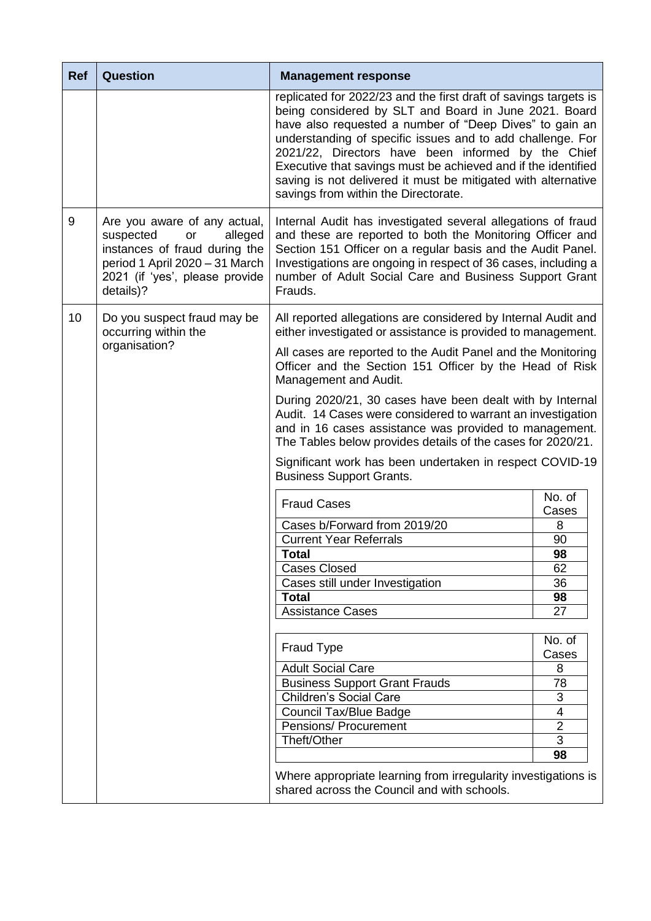| <b>Ref</b> | <b>Question</b>                                                                                                                                                              | <b>Management response</b>                                                                                                                                                                                                                                                                                                                                                                                                                                                         |                 |
|------------|------------------------------------------------------------------------------------------------------------------------------------------------------------------------------|------------------------------------------------------------------------------------------------------------------------------------------------------------------------------------------------------------------------------------------------------------------------------------------------------------------------------------------------------------------------------------------------------------------------------------------------------------------------------------|-----------------|
|            |                                                                                                                                                                              | replicated for 2022/23 and the first draft of savings targets is<br>being considered by SLT and Board in June 2021. Board<br>have also requested a number of "Deep Dives" to gain an<br>understanding of specific issues and to add challenge. For<br>2021/22, Directors have been informed by the Chief<br>Executive that savings must be achieved and if the identified<br>saving is not delivered it must be mitigated with alternative<br>savings from within the Directorate. |                 |
| 9          | Are you aware of any actual,<br>suspected<br>alleged<br>or<br>instances of fraud during the<br>period 1 April 2020 - 31 March<br>2021 (if 'yes', please provide<br>details)? | Internal Audit has investigated several allegations of fraud<br>and these are reported to both the Monitoring Officer and<br>Section 151 Officer on a regular basis and the Audit Panel.<br>Investigations are ongoing in respect of 36 cases, including a<br>number of Adult Social Care and Business Support Grant<br>Frauds.                                                                                                                                                    |                 |
| 10         | Do you suspect fraud may be<br>occurring within the                                                                                                                          | All reported allegations are considered by Internal Audit and<br>either investigated or assistance is provided to management.                                                                                                                                                                                                                                                                                                                                                      |                 |
|            | organisation?                                                                                                                                                                | All cases are reported to the Audit Panel and the Monitoring<br>Officer and the Section 151 Officer by the Head of Risk<br>Management and Audit.                                                                                                                                                                                                                                                                                                                                   |                 |
|            |                                                                                                                                                                              | During 2020/21, 30 cases have been dealt with by Internal<br>Audit. 14 Cases were considered to warrant an investigation<br>and in 16 cases assistance was provided to management.<br>The Tables below provides details of the cases for 2020/21.                                                                                                                                                                                                                                  |                 |
|            |                                                                                                                                                                              | Significant work has been undertaken in respect COVID-19<br><b>Business Support Grants.</b>                                                                                                                                                                                                                                                                                                                                                                                        |                 |
|            |                                                                                                                                                                              | <b>Fraud Cases</b>                                                                                                                                                                                                                                                                                                                                                                                                                                                                 | No. of<br>Cases |
|            |                                                                                                                                                                              | Cases b/Forward from 2019/20                                                                                                                                                                                                                                                                                                                                                                                                                                                       | 8               |
|            |                                                                                                                                                                              | <b>Current Year Referrals</b>                                                                                                                                                                                                                                                                                                                                                                                                                                                      | 90              |
|            |                                                                                                                                                                              | Total                                                                                                                                                                                                                                                                                                                                                                                                                                                                              | 98              |
|            |                                                                                                                                                                              | <b>Cases Closed</b>                                                                                                                                                                                                                                                                                                                                                                                                                                                                | 62              |
|            |                                                                                                                                                                              | Cases still under Investigation                                                                                                                                                                                                                                                                                                                                                                                                                                                    | 36              |
|            |                                                                                                                                                                              | <b>Total</b>                                                                                                                                                                                                                                                                                                                                                                                                                                                                       | 98              |
|            |                                                                                                                                                                              | <b>Assistance Cases</b>                                                                                                                                                                                                                                                                                                                                                                                                                                                            | 27              |
|            |                                                                                                                                                                              |                                                                                                                                                                                                                                                                                                                                                                                                                                                                                    | No. of          |
|            |                                                                                                                                                                              | <b>Fraud Type</b>                                                                                                                                                                                                                                                                                                                                                                                                                                                                  | Cases           |
|            |                                                                                                                                                                              | <b>Adult Social Care</b>                                                                                                                                                                                                                                                                                                                                                                                                                                                           | 8               |
|            |                                                                                                                                                                              | <b>Business Support Grant Frauds</b>                                                                                                                                                                                                                                                                                                                                                                                                                                               | 78              |
|            |                                                                                                                                                                              | <b>Children's Social Care</b>                                                                                                                                                                                                                                                                                                                                                                                                                                                      | 3               |
|            |                                                                                                                                                                              | <b>Council Tax/Blue Badge</b>                                                                                                                                                                                                                                                                                                                                                                                                                                                      | 4               |
|            |                                                                                                                                                                              | Pensions/ Procurement                                                                                                                                                                                                                                                                                                                                                                                                                                                              | $\overline{2}$  |
|            |                                                                                                                                                                              | Theft/Other                                                                                                                                                                                                                                                                                                                                                                                                                                                                        | 3               |
|            |                                                                                                                                                                              |                                                                                                                                                                                                                                                                                                                                                                                                                                                                                    | 98              |
|            |                                                                                                                                                                              | Where appropriate learning from irregularity investigations is<br>shared across the Council and with schools.                                                                                                                                                                                                                                                                                                                                                                      |                 |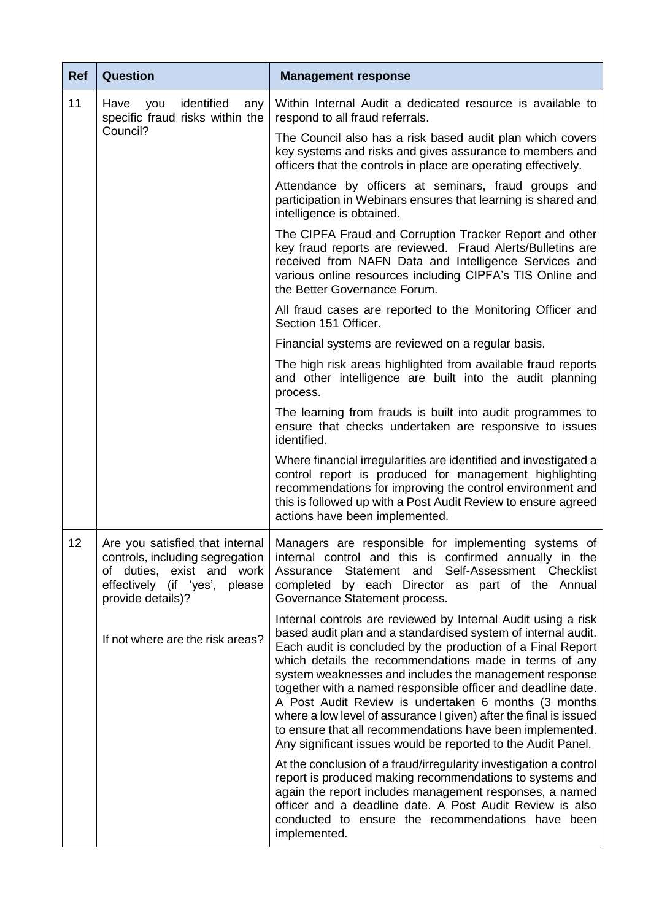| <b>Ref</b> | <b>Question</b>                                                                                                                                       | <b>Management response</b>                                                                                                                                                                                                                                                                                                                                                                                                                                                                                                                                                                                                                  |
|------------|-------------------------------------------------------------------------------------------------------------------------------------------------------|---------------------------------------------------------------------------------------------------------------------------------------------------------------------------------------------------------------------------------------------------------------------------------------------------------------------------------------------------------------------------------------------------------------------------------------------------------------------------------------------------------------------------------------------------------------------------------------------------------------------------------------------|
| 11         | identified<br>Have<br>you<br>any<br>specific fraud risks within the                                                                                   | Within Internal Audit a dedicated resource is available to<br>respond to all fraud referrals.                                                                                                                                                                                                                                                                                                                                                                                                                                                                                                                                               |
|            | Council?                                                                                                                                              | The Council also has a risk based audit plan which covers<br>key systems and risks and gives assurance to members and<br>officers that the controls in place are operating effectively.                                                                                                                                                                                                                                                                                                                                                                                                                                                     |
|            |                                                                                                                                                       | Attendance by officers at seminars, fraud groups and<br>participation in Webinars ensures that learning is shared and<br>intelligence is obtained.                                                                                                                                                                                                                                                                                                                                                                                                                                                                                          |
|            |                                                                                                                                                       | The CIPFA Fraud and Corruption Tracker Report and other<br>key fraud reports are reviewed. Fraud Alerts/Bulletins are<br>received from NAFN Data and Intelligence Services and<br>various online resources including CIPFA's TIS Online and<br>the Better Governance Forum.                                                                                                                                                                                                                                                                                                                                                                 |
|            |                                                                                                                                                       | All fraud cases are reported to the Monitoring Officer and<br>Section 151 Officer.                                                                                                                                                                                                                                                                                                                                                                                                                                                                                                                                                          |
|            |                                                                                                                                                       | Financial systems are reviewed on a regular basis.                                                                                                                                                                                                                                                                                                                                                                                                                                                                                                                                                                                          |
|            |                                                                                                                                                       | The high risk areas highlighted from available fraud reports<br>and other intelligence are built into the audit planning<br>process.                                                                                                                                                                                                                                                                                                                                                                                                                                                                                                        |
|            |                                                                                                                                                       | The learning from frauds is built into audit programmes to<br>ensure that checks undertaken are responsive to issues<br>identified.                                                                                                                                                                                                                                                                                                                                                                                                                                                                                                         |
|            |                                                                                                                                                       | Where financial irregularities are identified and investigated a<br>control report is produced for management highlighting<br>recommendations for improving the control environment and<br>this is followed up with a Post Audit Review to ensure agreed<br>actions have been implemented.                                                                                                                                                                                                                                                                                                                                                  |
| 12         | Are you satisfied that internal<br>controls, including segregation<br>of duties, exist and work<br>effectively (if 'yes', please<br>provide details)? | Managers are responsible for implementing systems of<br>internal control and this is confirmed annually in the<br>Statement and Self-Assessment Checklist<br>Assurance<br>by each Director as part of the Annual<br>completed<br>Governance Statement process.                                                                                                                                                                                                                                                                                                                                                                              |
|            | If not where are the risk areas?                                                                                                                      | Internal controls are reviewed by Internal Audit using a risk<br>based audit plan and a standardised system of internal audit.<br>Each audit is concluded by the production of a Final Report<br>which details the recommendations made in terms of any<br>system weaknesses and includes the management response<br>together with a named responsible officer and deadline date.<br>A Post Audit Review is undertaken 6 months (3 months<br>where a low level of assurance I given) after the final is issued<br>to ensure that all recommendations have been implemented.<br>Any significant issues would be reported to the Audit Panel. |
|            |                                                                                                                                                       | At the conclusion of a fraud/irregularity investigation a control<br>report is produced making recommendations to systems and<br>again the report includes management responses, a named<br>officer and a deadline date. A Post Audit Review is also<br>conducted to ensure the recommendations have been<br>implemented.                                                                                                                                                                                                                                                                                                                   |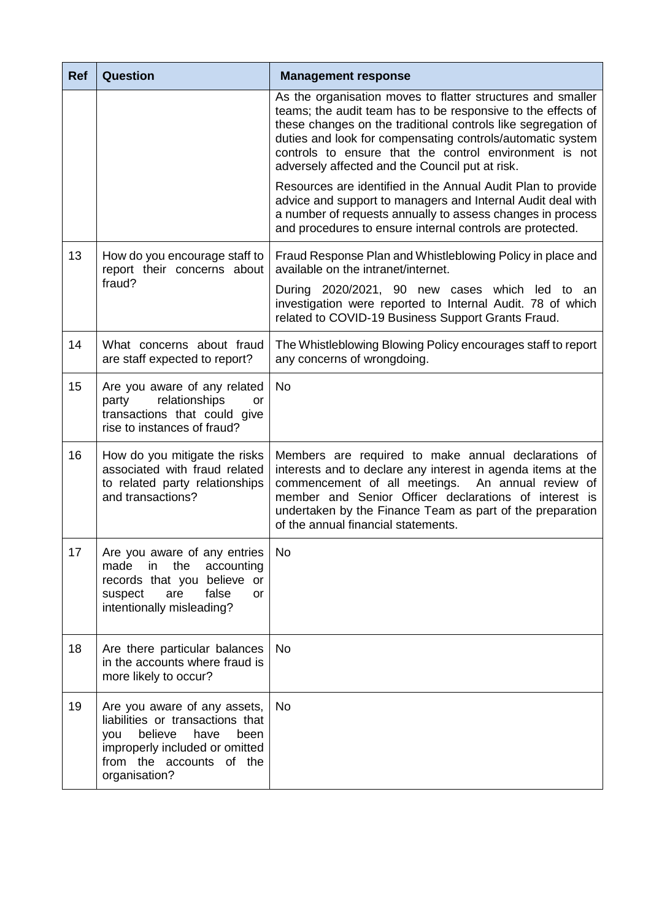| <b>Ref</b> | <b>Question</b>                                                                                                                                                                   | <b>Management response</b>                                                                                                                                                                                                                                                                                                                                              |
|------------|-----------------------------------------------------------------------------------------------------------------------------------------------------------------------------------|-------------------------------------------------------------------------------------------------------------------------------------------------------------------------------------------------------------------------------------------------------------------------------------------------------------------------------------------------------------------------|
|            |                                                                                                                                                                                   | As the organisation moves to flatter structures and smaller<br>teams; the audit team has to be responsive to the effects of<br>these changes on the traditional controls like segregation of<br>duties and look for compensating controls/automatic system<br>controls to ensure that the control environment is not<br>adversely affected and the Council put at risk. |
|            |                                                                                                                                                                                   | Resources are identified in the Annual Audit Plan to provide<br>advice and support to managers and Internal Audit deal with<br>a number of requests annually to assess changes in process<br>and procedures to ensure internal controls are protected.                                                                                                                  |
| 13         | How do you encourage staff to<br>report their concerns about                                                                                                                      | Fraud Response Plan and Whistleblowing Policy in place and<br>available on the intranet/internet.                                                                                                                                                                                                                                                                       |
|            | fraud?                                                                                                                                                                            | During 2020/2021, 90 new cases which led to an<br>investigation were reported to Internal Audit. 78 of which<br>related to COVID-19 Business Support Grants Fraud.                                                                                                                                                                                                      |
| 14         | What concerns about fraud<br>are staff expected to report?                                                                                                                        | The Whistleblowing Blowing Policy encourages staff to report<br>any concerns of wrongdoing.                                                                                                                                                                                                                                                                             |
| 15         | Are you aware of any related<br>relationships<br>party<br>or<br>transactions that could give<br>rise to instances of fraud?                                                       | <b>No</b>                                                                                                                                                                                                                                                                                                                                                               |
| 16         | How do you mitigate the risks<br>associated with fraud related<br>to related party relationships<br>and transactions?                                                             | Members are required to make annual declarations of<br>interests and to declare any interest in agenda items at the<br>commencement of all meetings.<br>An annual review of<br>member and Senior Officer declarations of interest is<br>undertaken by the Finance Team as part of the preparation<br>of the annual financial statements.                                |
| 17         | Are you aware of any entries<br>the<br>made<br>in<br>accounting<br>records that you believe<br>or<br>false<br>suspect<br>are<br>or<br>intentionally misleading?                   | No                                                                                                                                                                                                                                                                                                                                                                      |
| 18         | Are there particular balances<br>in the accounts where fraud is<br>more likely to occur?                                                                                          | <b>No</b>                                                                                                                                                                                                                                                                                                                                                               |
| 19         | Are you aware of any assets,<br>liabilities or transactions that<br>believe<br>have<br>been<br>you<br>improperly included or omitted<br>from the accounts of the<br>organisation? | <b>No</b>                                                                                                                                                                                                                                                                                                                                                               |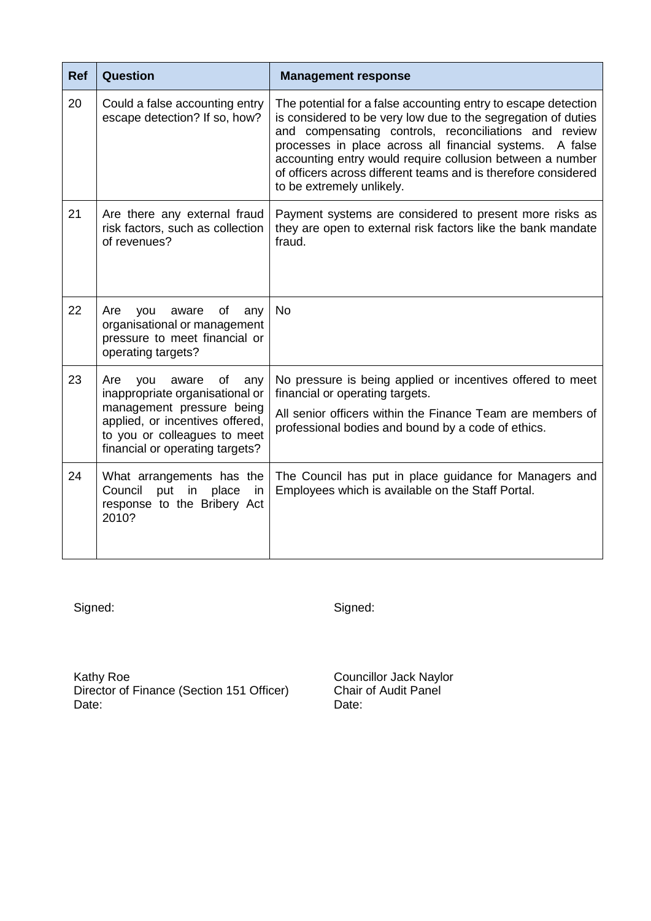| <b>Ref</b> | <b>Question</b>                                                                                                                                                                                        | <b>Management response</b>                                                                                                                                                                                                                                                                                                                                                                                       |
|------------|--------------------------------------------------------------------------------------------------------------------------------------------------------------------------------------------------------|------------------------------------------------------------------------------------------------------------------------------------------------------------------------------------------------------------------------------------------------------------------------------------------------------------------------------------------------------------------------------------------------------------------|
| 20         | Could a false accounting entry<br>escape detection? If so, how?                                                                                                                                        | The potential for a false accounting entry to escape detection<br>is considered to be very low due to the segregation of duties<br>and compensating controls, reconciliations and review<br>processes in place across all financial systems. A false<br>accounting entry would require collusion between a number<br>of officers across different teams and is therefore considered<br>to be extremely unlikely. |
| 21         | Are there any external fraud<br>risk factors, such as collection<br>of revenues?                                                                                                                       | Payment systems are considered to present more risks as<br>they are open to external risk factors like the bank mandate<br>fraud.                                                                                                                                                                                                                                                                                |
| 22         | of<br>Are<br>aware<br>any<br>you<br>organisational or management<br>pressure to meet financial or<br>operating targets?                                                                                | <b>No</b>                                                                                                                                                                                                                                                                                                                                                                                                        |
| 23         | of<br>Are<br>aware<br>you<br>any<br>inappropriate organisational or<br>management pressure being<br>applied, or incentives offered,<br>to you or colleagues to meet<br>financial or operating targets? | No pressure is being applied or incentives offered to meet<br>financial or operating targets.<br>All senior officers within the Finance Team are members of<br>professional bodies and bound by a code of ethics.                                                                                                                                                                                                |
| 24         | What arrangements has the<br>Council<br>place<br>put<br>in<br>in<br>response to the Bribery Act<br>2010?                                                                                               | The Council has put in place guidance for Managers and<br>Employees which is available on the Staff Portal.                                                                                                                                                                                                                                                                                                      |

Signed: Signed:

Kathy Roe **Councillor Jack Naylor** Director of Finance (Section 151 Officer) Chair of Audit Panel Date: Date: Date: Date: Date: Date: Date: Date: Date: Date: Date: Date: Date: Date: Date: Date: Date: Date: Date: Date: Date: Date: Date: Date: Date: Date: Date: Date: Date: Date: Date: Date: Date: Date: Date: Date: Date: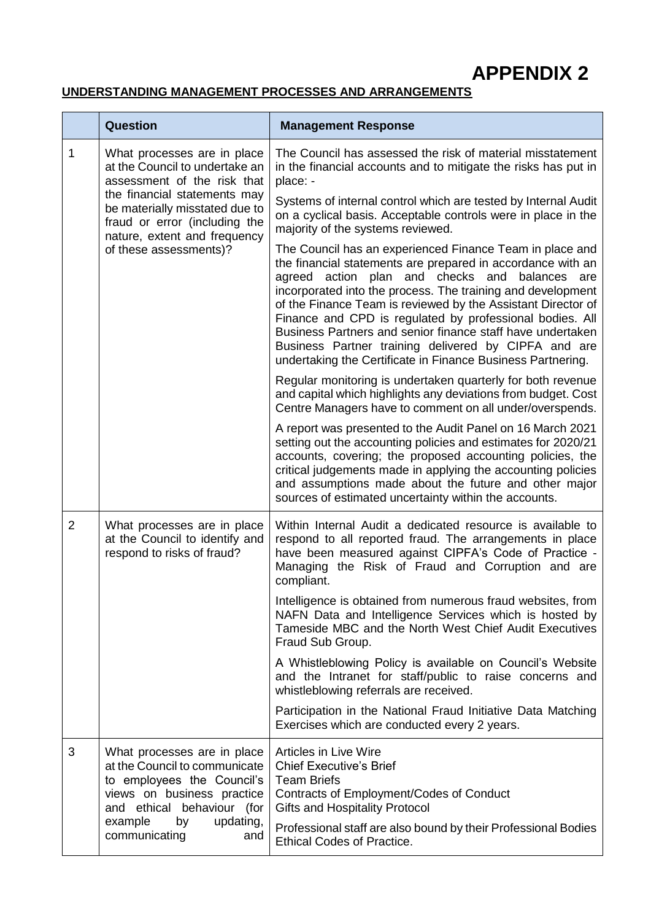**APPENDIX 2**

## **UNDERSTANDING MANAGEMENT PROCESSES AND ARRANGEMENTS**

|                        | <b>Question</b>                                                                                                                                                                                                                                                                                                                                                                                                                                                                                                                                           | <b>Management Response</b>                                                                                                                                                                                                                                                                                                                                                 |
|------------------------|-----------------------------------------------------------------------------------------------------------------------------------------------------------------------------------------------------------------------------------------------------------------------------------------------------------------------------------------------------------------------------------------------------------------------------------------------------------------------------------------------------------------------------------------------------------|----------------------------------------------------------------------------------------------------------------------------------------------------------------------------------------------------------------------------------------------------------------------------------------------------------------------------------------------------------------------------|
| 1                      | What processes are in place<br>at the Council to undertake an<br>assessment of the risk that<br>the financial statements may<br>be materially misstated due to<br>fraud or error (including the<br>nature, extent and frequency                                                                                                                                                                                                                                                                                                                           | The Council has assessed the risk of material misstatement<br>in the financial accounts and to mitigate the risks has put in<br>place: -                                                                                                                                                                                                                                   |
|                        |                                                                                                                                                                                                                                                                                                                                                                                                                                                                                                                                                           | Systems of internal control which are tested by Internal Audit<br>on a cyclical basis. Acceptable controls were in place in the<br>majority of the systems reviewed.                                                                                                                                                                                                       |
| of these assessments)? | The Council has an experienced Finance Team in place and<br>the financial statements are prepared in accordance with an<br>agreed action plan and checks and balances are<br>incorporated into the process. The training and development<br>of the Finance Team is reviewed by the Assistant Director of<br>Finance and CPD is regulated by professional bodies. All<br>Business Partners and senior finance staff have undertaken<br>Business Partner training delivered by CIPFA and are<br>undertaking the Certificate in Finance Business Partnering. |                                                                                                                                                                                                                                                                                                                                                                            |
|                        |                                                                                                                                                                                                                                                                                                                                                                                                                                                                                                                                                           | Regular monitoring is undertaken quarterly for both revenue<br>and capital which highlights any deviations from budget. Cost<br>Centre Managers have to comment on all under/overspends.                                                                                                                                                                                   |
|                        |                                                                                                                                                                                                                                                                                                                                                                                                                                                                                                                                                           | A report was presented to the Audit Panel on 16 March 2021<br>setting out the accounting policies and estimates for 2020/21<br>accounts, covering; the proposed accounting policies, the<br>critical judgements made in applying the accounting policies<br>and assumptions made about the future and other major<br>sources of estimated uncertainty within the accounts. |
| $\overline{2}$         | What processes are in place<br>at the Council to identify and<br>respond to risks of fraud?                                                                                                                                                                                                                                                                                                                                                                                                                                                               | Within Internal Audit a dedicated resource is available to<br>respond to all reported fraud. The arrangements in place<br>have been measured against CIPFA's Code of Practice -<br>Managing the Risk of Fraud and Corruption and are<br>compliant.                                                                                                                         |
|                        |                                                                                                                                                                                                                                                                                                                                                                                                                                                                                                                                                           | Intelligence is obtained from numerous fraud websites, from<br>NAFN Data and Intelligence Services which is hosted by<br>Tameside MBC and the North West Chief Audit Executives<br>Fraud Sub Group.                                                                                                                                                                        |
|                        |                                                                                                                                                                                                                                                                                                                                                                                                                                                                                                                                                           | A Whistleblowing Policy is available on Council's Website<br>and the Intranet for staff/public to raise concerns and<br>whistleblowing referrals are received.                                                                                                                                                                                                             |
|                        |                                                                                                                                                                                                                                                                                                                                                                                                                                                                                                                                                           | Participation in the National Fraud Initiative Data Matching<br>Exercises which are conducted every 2 years.                                                                                                                                                                                                                                                               |
| 3                      | What processes are in place<br>at the Council to communicate<br>to employees the Council's<br>views on business practice<br>and ethical behaviour (for                                                                                                                                                                                                                                                                                                                                                                                                    | <b>Articles in Live Wire</b><br><b>Chief Executive's Brief</b><br><b>Team Briefs</b><br>Contracts of Employment/Codes of Conduct<br><b>Gifts and Hospitality Protocol</b>                                                                                                                                                                                                  |
|                        | example<br>updating,<br>by<br>communicating<br>and                                                                                                                                                                                                                                                                                                                                                                                                                                                                                                        | Professional staff are also bound by their Professional Bodies<br><b>Ethical Codes of Practice.</b>                                                                                                                                                                                                                                                                        |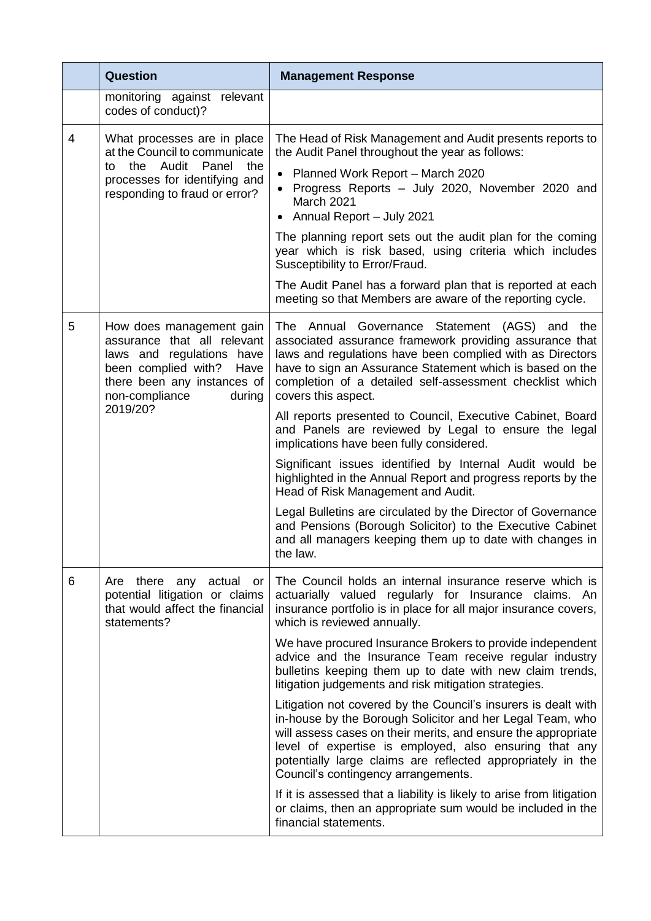|                                                                                                                                                                                     | <b>Question</b>                                                                                                                                                                                                                                                                                                             | <b>Management Response</b>                                                                                                                                                                                                                                                                                                                                   |
|-------------------------------------------------------------------------------------------------------------------------------------------------------------------------------------|-----------------------------------------------------------------------------------------------------------------------------------------------------------------------------------------------------------------------------------------------------------------------------------------------------------------------------|--------------------------------------------------------------------------------------------------------------------------------------------------------------------------------------------------------------------------------------------------------------------------------------------------------------------------------------------------------------|
|                                                                                                                                                                                     | monitoring against relevant<br>codes of conduct)?                                                                                                                                                                                                                                                                           |                                                                                                                                                                                                                                                                                                                                                              |
| 4                                                                                                                                                                                   | What processes are in place<br>at the Council to communicate<br>the Audit Panel<br>the<br>to<br>processes for identifying and<br>responding to fraud or error?                                                                                                                                                              | The Head of Risk Management and Audit presents reports to<br>the Audit Panel throughout the year as follows:                                                                                                                                                                                                                                                 |
|                                                                                                                                                                                     |                                                                                                                                                                                                                                                                                                                             | Planned Work Report - March 2020<br>Progress Reports - July 2020, November 2020 and<br><b>March 2021</b><br>• Annual Report - July 2021                                                                                                                                                                                                                      |
|                                                                                                                                                                                     |                                                                                                                                                                                                                                                                                                                             | The planning report sets out the audit plan for the coming<br>year which is risk based, using criteria which includes<br>Susceptibility to Error/Fraud.                                                                                                                                                                                                      |
|                                                                                                                                                                                     |                                                                                                                                                                                                                                                                                                                             | The Audit Panel has a forward plan that is reported at each<br>meeting so that Members are aware of the reporting cycle.                                                                                                                                                                                                                                     |
| 5<br>How does management gain<br>assurance that all relevant<br>laws and regulations have<br>been complied with?<br>Have<br>there been any instances of<br>non-compliance<br>during | The Annual Governance Statement (AGS)<br>and<br>the<br>associated assurance framework providing assurance that<br>laws and regulations have been complied with as Directors<br>have to sign an Assurance Statement which is based on the<br>completion of a detailed self-assessment checklist which<br>covers this aspect. |                                                                                                                                                                                                                                                                                                                                                              |
|                                                                                                                                                                                     | 2019/20?                                                                                                                                                                                                                                                                                                                    | All reports presented to Council, Executive Cabinet, Board<br>and Panels are reviewed by Legal to ensure the legal<br>implications have been fully considered.                                                                                                                                                                                               |
|                                                                                                                                                                                     |                                                                                                                                                                                                                                                                                                                             | Significant issues identified by Internal Audit would be<br>highlighted in the Annual Report and progress reports by the<br>Head of Risk Management and Audit.                                                                                                                                                                                               |
|                                                                                                                                                                                     |                                                                                                                                                                                                                                                                                                                             | Legal Bulletins are circulated by the Director of Governance<br>and Pensions (Borough Solicitor) to the Executive Cabinet<br>and all managers keeping them up to date with changes in<br>the law.                                                                                                                                                            |
| 6                                                                                                                                                                                   | there any<br>actual<br>Are<br>or<br>potential litigation or claims<br>that would affect the financial<br>statements?                                                                                                                                                                                                        | The Council holds an internal insurance reserve which is<br>actuarially valued regularly for Insurance claims. An<br>insurance portfolio is in place for all major insurance covers,<br>which is reviewed annually.                                                                                                                                          |
|                                                                                                                                                                                     |                                                                                                                                                                                                                                                                                                                             | We have procured Insurance Brokers to provide independent<br>advice and the Insurance Team receive regular industry<br>bulletins keeping them up to date with new claim trends,<br>litigation judgements and risk mitigation strategies.                                                                                                                     |
|                                                                                                                                                                                     |                                                                                                                                                                                                                                                                                                                             | Litigation not covered by the Council's insurers is dealt with<br>in-house by the Borough Solicitor and her Legal Team, who<br>will assess cases on their merits, and ensure the appropriate<br>level of expertise is employed, also ensuring that any<br>potentially large claims are reflected appropriately in the<br>Council's contingency arrangements. |
|                                                                                                                                                                                     |                                                                                                                                                                                                                                                                                                                             | If it is assessed that a liability is likely to arise from litigation<br>or claims, then an appropriate sum would be included in the<br>financial statements.                                                                                                                                                                                                |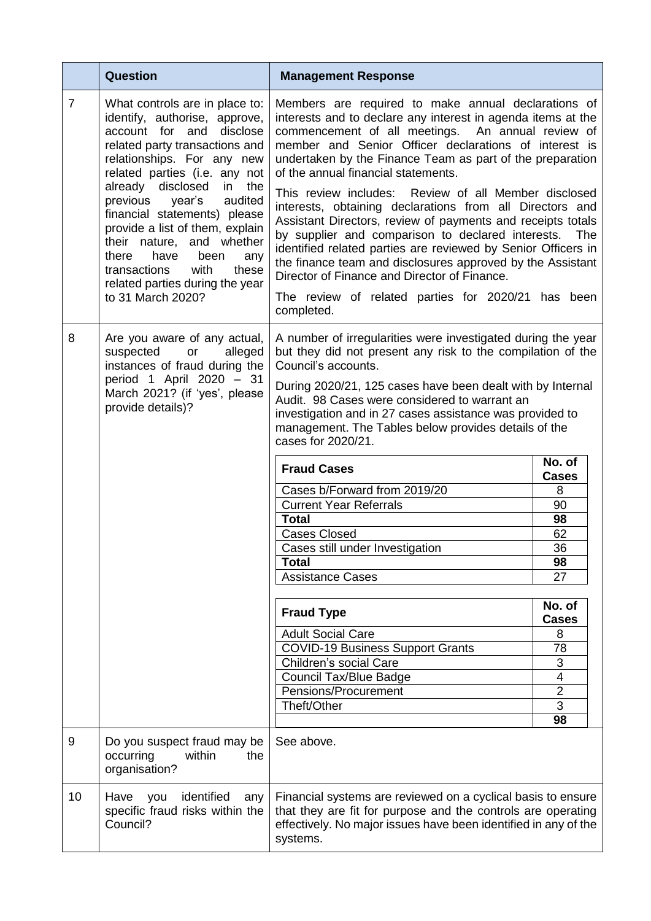|                | <b>Question</b>                                                                                                                                                                                                                                                                                                                                                                                                                                                                    | <b>Management Response</b>                                                                                                                                                                                                                                                                                                                                                                                                                                                                                                                                                                                                                                                                                                                                                                                                       |                                                                                                                                                                   |
|----------------|------------------------------------------------------------------------------------------------------------------------------------------------------------------------------------------------------------------------------------------------------------------------------------------------------------------------------------------------------------------------------------------------------------------------------------------------------------------------------------|----------------------------------------------------------------------------------------------------------------------------------------------------------------------------------------------------------------------------------------------------------------------------------------------------------------------------------------------------------------------------------------------------------------------------------------------------------------------------------------------------------------------------------------------------------------------------------------------------------------------------------------------------------------------------------------------------------------------------------------------------------------------------------------------------------------------------------|-------------------------------------------------------------------------------------------------------------------------------------------------------------------|
| $\overline{7}$ | What controls are in place to:<br>identify, authorise, approve,<br>account for and disclose<br>related party transactions and<br>relationships. For any new<br>related parties (i.e. any not<br>already disclosed<br>in the<br>previous year's<br>audited<br>financial statements) please<br>provide a list of them, explain<br>their nature, and whether<br>have<br>there<br>been<br>any<br>with<br>these<br>transactions<br>related parties during the year<br>to 31 March 2020? | Members are required to make annual declarations of<br>interests and to declare any interest in agenda items at the<br>commencement of all meetings. An annual review of<br>member and Senior Officer declarations of interest is<br>undertaken by the Finance Team as part of the preparation<br>of the annual financial statements.<br>This review includes: Review of all Member disclosed<br>interests, obtaining declarations from all Directors and<br>Assistant Directors, review of payments and receipts totals<br>by supplier and comparison to declared interests.<br>identified related parties are reviewed by Senior Officers in<br>the finance team and disclosures approved by the Assistant<br>Director of Finance and Director of Finance.<br>The review of related parties for 2020/21 has been<br>completed. | The                                                                                                                                                               |
| 8              | Are you aware of any actual,<br>suspected<br>alleged<br>or<br>instances of fraud during the<br>period 1 April 2020 - 31<br>March 2021? (if 'yes', please<br>provide details)?                                                                                                                                                                                                                                                                                                      | A number of irregularities were investigated during the year<br>but they did not present any risk to the compilation of the<br>Council's accounts.<br>During 2020/21, 125 cases have been dealt with by Internal<br>Audit. 98 Cases were considered to warrant an<br>investigation and in 27 cases assistance was provided to<br>management. The Tables below provides details of the<br>cases for 2020/21.<br><b>Fraud Cases</b><br>Cases b/Forward from 2019/20<br><b>Current Year Referrals</b><br><b>Total</b><br><b>Cases Closed</b><br>Cases still under Investigation<br><b>Total</b><br><b>Assistance Cases</b><br><b>Fraud Type</b><br><b>Adult Social Care</b><br><b>COVID-19 Business Support Grants</b><br>Children's social Care<br><b>Council Tax/Blue Badge</b><br>Pensions/Procurement<br>Theft/Other            | No. of<br><b>Cases</b><br>8<br>90<br>98<br>62<br>36<br>98<br>27<br>No. of<br><b>Cases</b><br>8<br>78<br>3<br>$\overline{\mathbf{4}}$<br>$\overline{2}$<br>3<br>98 |
| 9              | Do you suspect fraud may be<br>occurring<br>within<br>the<br>organisation?                                                                                                                                                                                                                                                                                                                                                                                                         | See above.                                                                                                                                                                                                                                                                                                                                                                                                                                                                                                                                                                                                                                                                                                                                                                                                                       |                                                                                                                                                                   |
| 10             | identified<br>Have<br>you<br>any<br>specific fraud risks within the<br>Council?                                                                                                                                                                                                                                                                                                                                                                                                    | Financial systems are reviewed on a cyclical basis to ensure<br>that they are fit for purpose and the controls are operating<br>effectively. No major issues have been identified in any of the<br>systems.                                                                                                                                                                                                                                                                                                                                                                                                                                                                                                                                                                                                                      |                                                                                                                                                                   |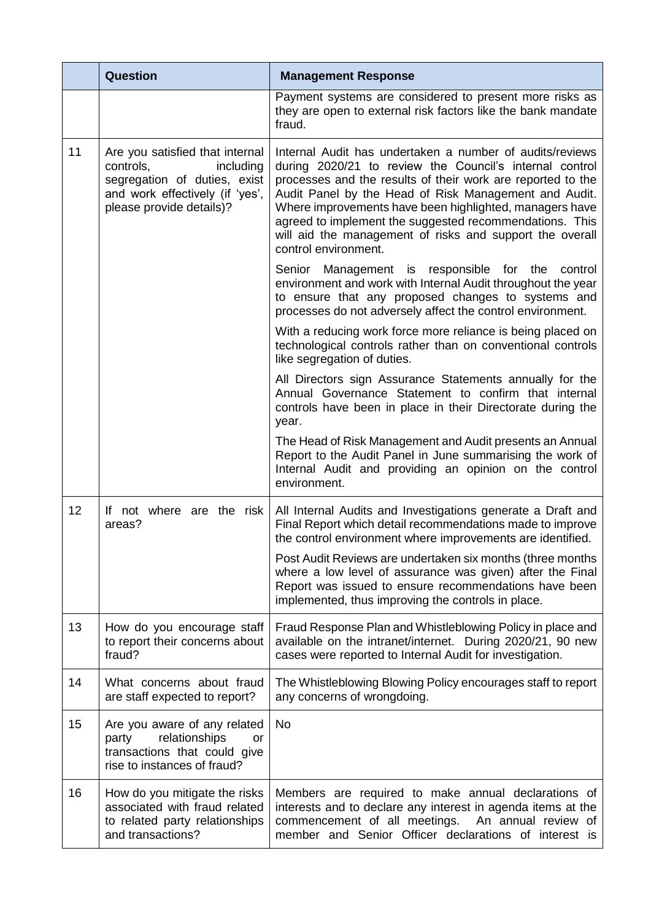|    | <b>Question</b>                                                                                                                                          | <b>Management Response</b>                                                                                                                                                                                                                                                                                                                                                                                                                            |
|----|----------------------------------------------------------------------------------------------------------------------------------------------------------|-------------------------------------------------------------------------------------------------------------------------------------------------------------------------------------------------------------------------------------------------------------------------------------------------------------------------------------------------------------------------------------------------------------------------------------------------------|
|    |                                                                                                                                                          | Payment systems are considered to present more risks as<br>they are open to external risk factors like the bank mandate<br>fraud.                                                                                                                                                                                                                                                                                                                     |
| 11 | Are you satisfied that internal<br>controls,<br>including<br>segregation of duties, exist<br>and work effectively (if 'yes',<br>please provide details)? | Internal Audit has undertaken a number of audits/reviews<br>during 2020/21 to review the Council's internal control<br>processes and the results of their work are reported to the<br>Audit Panel by the Head of Risk Management and Audit.<br>Where improvements have been highlighted, managers have<br>agreed to implement the suggested recommendations. This<br>will aid the management of risks and support the overall<br>control environment. |
|    |                                                                                                                                                          | Senior Management is responsible for the control<br>environment and work with Internal Audit throughout the year<br>to ensure that any proposed changes to systems and<br>processes do not adversely affect the control environment.                                                                                                                                                                                                                  |
|    |                                                                                                                                                          | With a reducing work force more reliance is being placed on<br>technological controls rather than on conventional controls<br>like segregation of duties.                                                                                                                                                                                                                                                                                             |
|    |                                                                                                                                                          | All Directors sign Assurance Statements annually for the<br>Annual Governance Statement to confirm that internal<br>controls have been in place in their Directorate during the<br>year.                                                                                                                                                                                                                                                              |
|    |                                                                                                                                                          | The Head of Risk Management and Audit presents an Annual<br>Report to the Audit Panel in June summarising the work of<br>Internal Audit and providing an opinion on the control<br>environment.                                                                                                                                                                                                                                                       |
| 12 | If not where are the risk<br>areas?                                                                                                                      | All Internal Audits and Investigations generate a Draft and<br>Final Report which detail recommendations made to improve<br>the control environment where improvements are identified.                                                                                                                                                                                                                                                                |
|    |                                                                                                                                                          | Post Audit Reviews are undertaken six months (three months<br>where a low level of assurance was given) after the Final<br>Report was issued to ensure recommendations have been<br>implemented, thus improving the controls in place.                                                                                                                                                                                                                |
| 13 | How do you encourage staff<br>to report their concerns about<br>fraud?                                                                                   | Fraud Response Plan and Whistleblowing Policy in place and<br>available on the intranet/internet. During 2020/21, 90 new<br>cases were reported to Internal Audit for investigation.                                                                                                                                                                                                                                                                  |
| 14 | What concerns about fraud<br>are staff expected to report?                                                                                               | The Whistleblowing Blowing Policy encourages staff to report<br>any concerns of wrongdoing.                                                                                                                                                                                                                                                                                                                                                           |
| 15 | Are you aware of any related<br>relationships<br>party<br>or<br>transactions that could give<br>rise to instances of fraud?                              | <b>No</b>                                                                                                                                                                                                                                                                                                                                                                                                                                             |
| 16 | How do you mitigate the risks<br>associated with fraud related<br>to related party relationships<br>and transactions?                                    | Members are required to make annual declarations of<br>interests and to declare any interest in agenda items at the<br>commencement of all meetings. An annual review of<br>member and Senior Officer declarations of interest is                                                                                                                                                                                                                     |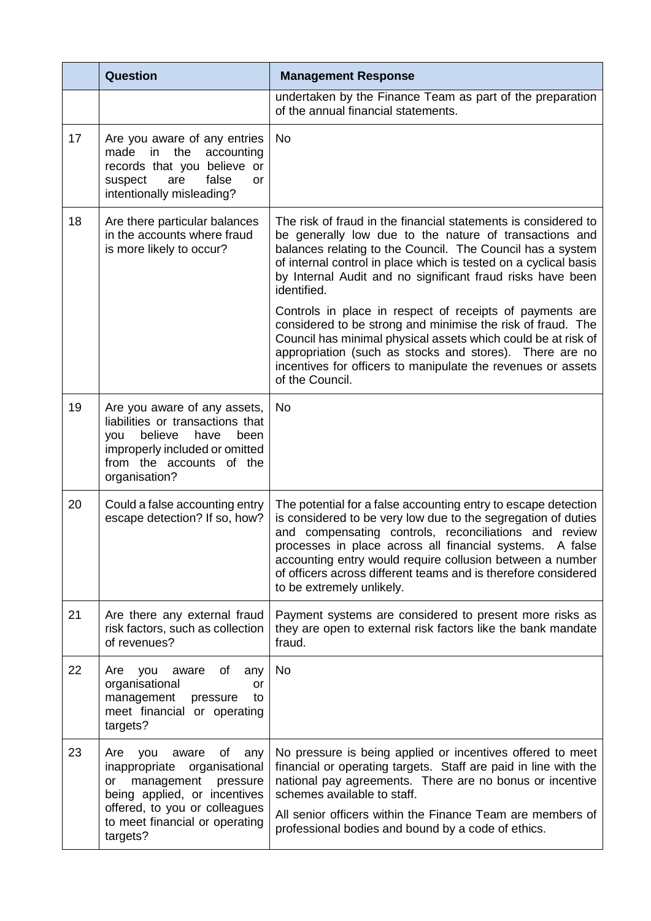|    | Question                                                                                                                                                                                                           | <b>Management Response</b>                                                                                                                                                                                                                                                                                                                                                                                       |
|----|--------------------------------------------------------------------------------------------------------------------------------------------------------------------------------------------------------------------|------------------------------------------------------------------------------------------------------------------------------------------------------------------------------------------------------------------------------------------------------------------------------------------------------------------------------------------------------------------------------------------------------------------|
|    |                                                                                                                                                                                                                    | undertaken by the Finance Team as part of the preparation<br>of the annual financial statements.                                                                                                                                                                                                                                                                                                                 |
| 17 | Are you aware of any entries<br>made in the<br>accounting<br>records that you believe or<br>false<br>suspect<br>are<br>or<br>intentionally misleading?                                                             | <b>No</b>                                                                                                                                                                                                                                                                                                                                                                                                        |
| 18 | Are there particular balances<br>in the accounts where fraud<br>is more likely to occur?                                                                                                                           | The risk of fraud in the financial statements is considered to<br>be generally low due to the nature of transactions and<br>balances relating to the Council. The Council has a system<br>of internal control in place which is tested on a cyclical basis<br>by Internal Audit and no significant fraud risks have been<br>identified.                                                                          |
|    |                                                                                                                                                                                                                    | Controls in place in respect of receipts of payments are<br>considered to be strong and minimise the risk of fraud. The<br>Council has minimal physical assets which could be at risk of<br>appropriation (such as stocks and stores). There are no<br>incentives for officers to manipulate the revenues or assets<br>of the Council.                                                                           |
| 19 | Are you aware of any assets,<br>liabilities or transactions that<br>believe have<br>been<br>you<br>improperly included or omitted<br>from the accounts of the<br>organisation?                                     | <b>No</b>                                                                                                                                                                                                                                                                                                                                                                                                        |
| 20 | Could a false accounting entry<br>escape detection? If so, how?                                                                                                                                                    | The potential for a false accounting entry to escape detection<br>is considered to be very low due to the segregation of duties<br>and compensating controls, reconciliations and review<br>processes in place across all financial systems. A false<br>accounting entry would require collusion between a number<br>of officers across different teams and is therefore considered<br>to be extremely unlikely. |
| 21 | Are there any external fraud<br>risk factors, such as collection<br>of revenues?                                                                                                                                   | Payment systems are considered to present more risks as<br>they are open to external risk factors like the bank mandate<br>fraud.                                                                                                                                                                                                                                                                                |
| 22 | of<br>Are<br>you<br>aware<br>any<br>organisational<br>or<br>management<br>pressure<br>to<br>meet financial or operating<br>targets?                                                                                | No                                                                                                                                                                                                                                                                                                                                                                                                               |
| 23 | οf<br>Are<br>you<br>aware<br>any<br>inappropriate<br>organisational<br>management<br>pressure<br>or<br>being applied, or incentives<br>offered, to you or colleagues<br>to meet financial or operating<br>targets? | No pressure is being applied or incentives offered to meet<br>financial or operating targets. Staff are paid in line with the<br>national pay agreements. There are no bonus or incentive<br>schemes available to staff.<br>All senior officers within the Finance Team are members of<br>professional bodies and bound by a code of ethics.                                                                     |